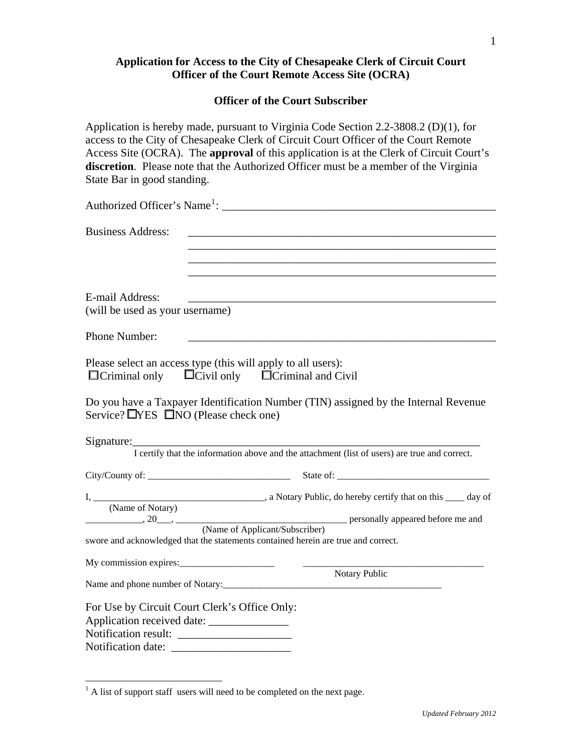## **Application for Access to the City of Chesapeake Clerk of Circuit Court Officer of the Court Remote Access Site (OCRA)**

## **Officer of the Court Subscriber**

Application is hereby made, pursuant to Virginia Code Section 2.2-3808.2 (D)(1), for access to the City of Chesapeake Clerk of Circuit Court Officer of the Court Remote Access Site (OCRA). The **approval** of this application is at the Clerk of Circuit Court's **discretion**. Please note that the Authorized Officer must be a member of the Virginia State Bar in good standing.

|                                                         | Authorized Officer's Name <sup>1</sup> :                                                                    |
|---------------------------------------------------------|-------------------------------------------------------------------------------------------------------------|
| <b>Business Address:</b>                                |                                                                                                             |
|                                                         |                                                                                                             |
| E-mail Address:<br>(will be used as your username)      |                                                                                                             |
| Phone Number:                                           |                                                                                                             |
| $\Box$ Criminal only                                    | Please select an access type (this will apply to all users):<br>$\Box$ Civil only $\Box$ Criminal and Civil |
| Service? $\Box$ <b>YES</b> $\Box$ NO (Please check one) | Do you have a Taxpayer Identification Number (TIN) assigned by the Internal Revenue                         |
| Signature:                                              | I certify that the information above and the attachment (list of users) are true and correct.               |
|                                                         |                                                                                                             |
|                                                         |                                                                                                             |
|                                                         | swore and acknowledged that the statements contained herein are true and correct.                           |
|                                                         | Notary Public                                                                                               |
|                                                         |                                                                                                             |
| For Use by Circuit Court Clerk's Office Only:           |                                                                                                             |
|                                                         |                                                                                                             |

 $\overline{a}$ 

<span id="page-0-0"></span> $<sup>1</sup>$  A list of support staff users will need to be completed on the next page.</sup>